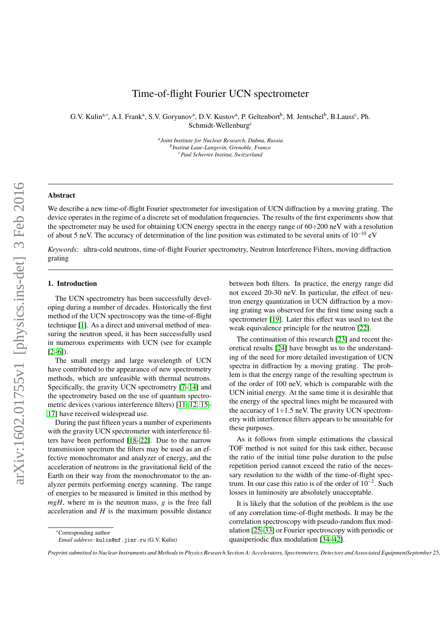# Time-of-flight Fourier UCN spectrometer

G.V. Kulin<sup>a,∗</sup>, A.I. Frank<sup>a</sup>, S.V. Goryunov<sup>a</sup>, D.V. Kustov<sup>a</sup>, P. Geltenbort<sup>b</sup>, M. Jentschel<sup>b</sup>, B.Lauss<sup>c</sup>, Ph. Schmidt-Wellenburg<sup>c</sup>

> *a Joint Institute for Nuclear Research, Dubna, Russia b Institut Laue-Langevin, Grenoble, France <sup>c</sup>Paul Scherrer Institut, Switzerland*

#### Abstract

We describe a new time-of-flight Fourier spectrometer for investigation of UCN diffraction by a moving grating. The device operates in the regime of a discrete set of modulation frequencies. The results of the first experiments show that the spectrometer may be used for obtaining UCN energy spectra in the energy range of  $60\div 200$  neV with a resolution of about 5 neV. The accuracy of determination of the line position was estimated to be several units of  $10^{-10}$  eV

*Keywords:* ultra-cold neutrons, time-of-flight Fourier spectrometry, Neutron Interference Filters, moving diffraction grating

#### 1. Introduction

The UCN spectrometry has been successfully developing during a number of decades. Historically the first method of the UCN spectroscopy was the time-of-flight technique [\[1\]](#page-6-0). As a direct and universal method of measuring the neutron speed, it has been successfully used in numerous experiments with UCN (see for example  $[2-6]$  $[2-6]$ ).

The small energy and large wavelength of UCN have contributed to the appearance of new spectrometry methods, which are unfeasible with thermal neutrons. Specifically, the gravity UCN spectrometry [\[7](#page-6-3)[–14\]](#page-6-4) and the spectrometry based on the use of quantum spectrometric devices (various interference filters) [\[11,](#page-6-5) [12,](#page-6-6) [15–](#page-6-7) [17\]](#page-6-8) have received widespread use.

During the past fifteen years a number of experiments with the gravity UCN spectrometer with interference filters have been performed [\[18](#page-6-9)[–22\]](#page-6-10). Due to the narrow transmission spectrum the filters may be used as an effective monochromator and analyzer of energy, and the acceleration of neutrons in the gravitational field of the Earth on their way from the monochromator to the analyzer permits performing energy scanning. The range of energies to be measured is limited in this method by *mgH*, where m is the neutron mass, *g* is the free fall acceleration and  $H$  is the maximum possible distance between both filters. In practice, the energy range did not exceed 20-30 neV. In particular, the effect of neutron energy quantization in UCN diffraction by a moving grating was observed for the first time using such a spectrometer [\[19\]](#page-6-11). Later this effect was used to test the weak equivalence principle for the neutron [\[22\]](#page-6-10).

The continuation of this research [\[23\]](#page-6-12) and recent theoretical results [\[24\]](#page-7-0) have brought us to the understanding of the need for more detailed investigation of UCN spectra in diffraction by a moving grating. The problem is that the energy range of the resulting spectrum is of the order of 100 neV, which is comparable with the UCN initial energy. At the same time it is desirable that the energy of the spectral lines might be measured with the accuracy of  $1\div 1.5$  neV. The gravity UCN spectrometry with interference filters appears to be unsuitable for these purposes.

As it follows from simple estimations the classical TOF method is not suited for this task either, because the ratio of the initial time pulse duration to the pulse repetition period cannot exceed the ratio of the necessary resolution to the width of the time-of-flight spectrum. In our case this ratio is of the order of 10<sup>−</sup><sup>2</sup> . Such losses in luminosity are absolutely unacceptable.

It is likely that the solution of the problem is the use of any correlation time-of-flight methods. It may be the correlation spectroscopy with pseudo-random flux modulation [\[25–](#page-7-1)[33\]](#page-7-2) or Fourier spectroscopy with periodic or quasiperiodic flux modulation [\[34–](#page-7-3)[42\]](#page-7-4).

<sup>∗</sup>Corresponding author

*Email address:* kulin@nf.jinr.ru (G.V. Kulin)

*Preprint submitted to Nuclear Instruments and Methods in Physics Research Section A: Accelerators, Spectrometers, Detectors and Associated EquipmentSeptember 25, 2018*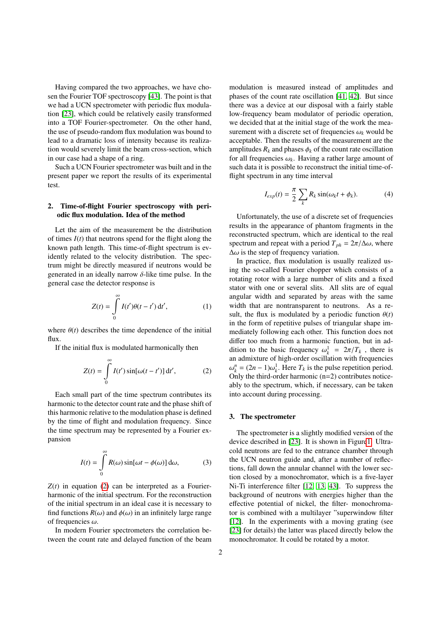Having compared the two approaches, we have chosen the Fourier TOF spectroscopy [\[43\]](#page-7-5). The point is that we had a UCN spectrometer with periodic flux modulation [\[23\]](#page-6-12), which could be relatively easily transformed into a TOF Fourier-spectrometer. On the other hand, the use of pseudo-random flux modulation was bound to lead to a dramatic loss of intensity because its realization would severely limit the beam cross-section, which in our case had a shape of a ring.

Such a UCN Fourier spectrometer was built and in the present paper we report the results of its experimental test.

## 2. Time-of-flight Fourier spectroscopy with periodic flux modulation. Idea of the method

Let the aim of the measurement be the distribution of times  $I(t)$  that neutrons spend for the flight along the known path length. This time-of-flight spectrum is evidently related to the velocity distribution. The spectrum might be directly measured if neutrons would be generated in an ideally narrow  $\delta$ -like time pulse. In the general case the detector response is

$$
Z(t) = \int_{0}^{\infty} I(t')\theta(t - t') dt',
$$
 (1)

where  $\theta(t)$  describes the time dependence of the initial flux.

If the initial flux is modulated harmonically then

$$
Z(t) = \int_{0}^{\infty} I(t') \sin[\omega(t - t')] dt', \qquad (2)
$$

Each small part of the time spectrum contributes its harmonic to the detector count rate and the phase shift of this harmonic relative to the modulation phase is defined by the time of flight and modulation frequency. Since the time spectrum may be represented by a Fourier expansion

$$
I(t) = \int_{0}^{\infty} R(\omega) \sin[\omega t - \phi(\omega)] d\omega,
$$
 (3)

 $Z(t)$  in equation [\(2\)](#page-1-0) can be interpreted as a Fourierharmonic of the initial spectrum. For the reconstruction of the initial spectrum in an ideal case it is necessary to find functions  $R(\omega)$  and  $\phi(\omega)$  in an infinitely large range of frequencies  $\omega$ .

In modern Fourier spectrometers the correlation between the count rate and delayed function of the beam modulation is measured instead of amplitudes and phases of the count rate oscillation [\[41,](#page-7-6) [42\]](#page-7-4). But since there was a device at our disposal with a fairly stable low-frequency beam modulator of periodic operation, we decided that at the initial stage of the work the measurement with a discrete set of frequencies  $\omega_k$  would be acceptable. Then the results of the measurement are the amplitudes  $R_k$  and phases  $\phi_k$  of the count rate oscillation for all frequencies  $\omega_k$ . Having a rather large amount of such data it is possible to reconstruct the initial time-offlight spectrum in any time interval

<span id="page-1-1"></span>
$$
I_{exp}(t) = \frac{\pi}{2} \sum_{k} R_k \sin(\omega_k t + \phi_k).
$$
 (4)

Unfortunately, the use of a discrete set of frequencies results in the appearance of phantom fragments in the reconstructed spectrum, which are identical to the real spectrum and repeat with a period  $T_{ph} = 2\pi/\Delta\omega$ , where  $\Delta\omega$  is the step of frequency variation.

In practice, flux modulation is usually realized using the so-called Fourier chopper which consists of a rotating rotor with a large number of slits and a fixed stator with one or several slits. All slits are of equal angular width and separated by areas with the same width that are nontransparent to neutrons. As a result, the flux is modulated by a periodic function  $\theta(t)$ in the form of repetitive pulses of triangular shape immediately following each other. This function does not differ too much from a harmonic function, but in addition to the basic frequency  $\omega_k^1 = 2\pi/T_k$ , there is an admixture of high-order oscillation with frequencies Only the third-order harmonic  $(n=2)$  contributes notice $h_k^n = (2n - 1)\omega_k^1$ . Here  $T_k$  is the pulse repetition period.<br>
nly the third-order harmonic (n–2) contributes noticeably to the spectrum, which, if necessary, can be taken into account during processing.

## <span id="page-1-0"></span>3. The spectrometer

The spectrometer is a slightly modified version of the device described in [\[23\]](#page-6-12). It is shown in Figur[e1.](#page-2-0) Ultracold neutrons are fed to the entrance chamber through the UCN neutron guide and, after a number of reflections, fall down the annular channel with the lower section closed by a monochromator, which is a five-layer Ni-Ti interference filter [\[12,](#page-6-6) [13,](#page-6-13) [43\]](#page-7-5). To suppress the background of neutrons with energies higher than the effective potential of nickel, the filter- monochromator is combined with a multilayer "superwindow filter [\[12\]](#page-6-6). In the experiments with a moving grating (see [\[23\]](#page-6-12) for details) the latter was placed directly below the monochromator. It could be rotated by a motor.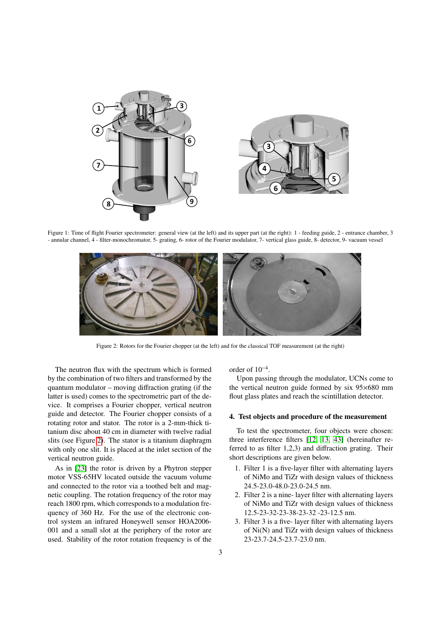<span id="page-2-0"></span>

<span id="page-2-1"></span>Figure 1: Time of flight Fourier spectrometer: general view (at the left) and its upper part (at the right): 1 - feeding guide, 2 - entrance chamber, 3 - annular channel, 4 - filter-monochromator, 5- grating, 6- rotor of the Fourier modulator, 7- vertical glass guide, 8- detector, 9- vacuum vessel



Figure 2: Rotors for the Fourier chopper (at the left) and for the classical TOF measurement (at the right)

The neutron flux with the spectrum which is formed by the combination of two filters and transformed by the quantum modulator – moving diffraction grating (if the latter is used) comes to the spectrometric part of the device. It comprises a Fourier chopper, vertical neutron guide and detector. The Fourier chopper consists of a rotating rotor and stator. The rotor is a 2-mm-thick titanium disc about 40 cm in diameter with twelve radial slits (see Figure [2\)](#page-2-1). The stator is a titanium diaphragm with only one slit. It is placed at the inlet section of the vertical neutron guide.

As in [\[23\]](#page-6-12) the rotor is driven by a Phytron stepper motor VSS-65HV located outside the vacuum volume and connected to the rotor via a toothed belt and magnetic coupling. The rotation frequency of the rotor may reach 1800 rpm, which corresponds to a modulation frequency of 360 Hz. For the use of the electronic control system an infrared Honeywell sensor HOA2006- 001 and a small slot at the periphery of the rotor are used. Stability of the rotor rotation frequency is of the

order of 10<sup>−</sup><sup>4</sup> .

Upon passing through the modulator, UCNs come to the vertical neutron guide formed by six 95×680 mm flout glass plates and reach the scintillation detector.

## 4. Test objects and procedure of the measurement

To test the spectrometer, four objects were chosen: three interference filters [\[12,](#page-6-6) [13,](#page-6-13) [43\]](#page-7-5) (hereinafter referred to as filter 1,2,3) and diffraction grating. Their short descriptions are given below.

- 1. Filter 1 is a five-layer filter with alternating layers of NiMo and TiZr with design values of thickness 24.5-23.0-48.0-23.0-24.5 nm.
- 2. Filter 2 is a nine- layer filter with alternating layers of NiMo and TiZr with design values of thickness 12.5-23-32-23-38-23-32 -23-12.5 nm.
- 3. Filter 3 is a five- layer filter with alternating layers of Ni(N) and TiZr with design values of thickness 23-23.7-24.5-23.7-23.0 nm.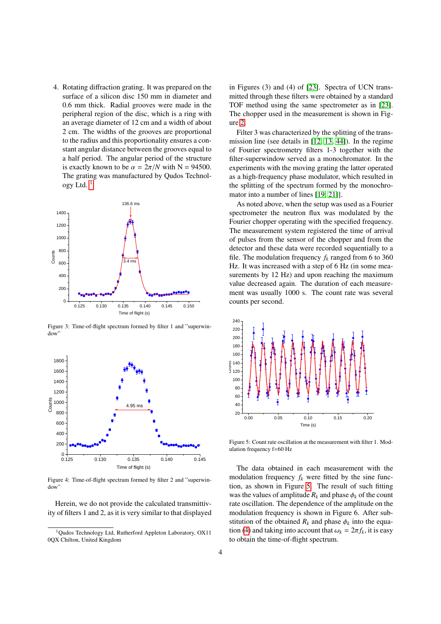4. Rotating diffraction grating. It was prepared on the surface of a silicon disc 150 mm in diameter and 0.6 mm thick. Radial grooves were made in the peripheral region of the disc, which is a ring with an average diameter of 12 cm and a width of about 2 cm. The widths of the grooves are proportional to the radius and this proportionality ensures a constant angular distance between the grooves equal to a half period. The angular period of the structure is exactly known to be  $\alpha = 2\pi/N$  with N = 94500. The grating was manufactured by Qudos Technology Ltd. $<sup>1</sup>$  $<sup>1</sup>$  $<sup>1</sup>$ </sup>

<span id="page-3-2"></span>

Figure 3: Time-of-flight spectrum formed by filter 1 and "superwindow"



Figure 4: Time-of-flight spectrum formed by filter 2 and "superwindow"

Herein, we do not provide the calculated transmittivity of filters 1 and 2, as it is very similar to that displayed in Figures (3) and (4) of [\[23\]](#page-6-12). Spectra of UCN transmitted through these filters were obtained by a standard TOF method using the same spectrometer as in [\[23\]](#page-6-12). The chopper used in the measurement is shown in Figure [2.](#page-2-1)

Filter 3 was characterized by the splitting of the transmission line (see details in [\[12,](#page-6-6) [13,](#page-6-13) [44\]](#page-7-7)). In the regime of Fourier spectrometry filters 1-3 together with the filter-superwindow served as a monochromator. In the experiments with the moving grating the latter operated as a high-frequency phase modulator, which resulted in the splitting of the spectrum formed by the monochromator into a number of lines [\[19,](#page-6-11) [21\]](#page-6-14)].

As noted above, when the setup was used as a Fourier spectrometer the neutron flux was modulated by the Fourier chopper operating with the specified frequency. The measurement system registered the time of arrival of pulses from the sensor of the chopper and from the detector and these data were recorded sequentially to a file. The modulation frequency  $f_k$  ranged from 6 to 360 Hz. It was increased with a step of 6 Hz (in some measurements by 12 Hz) and upon reaching the maximum value decreased again. The duration of each measurement was usually 1000 s. The count rate was several counts per second.

<span id="page-3-1"></span>

Figure 5: Count rate oscillation at the measurement with filter 1. Modulation frequency f=60 Hz

The data obtained in each measurement with the modulation frequency  $f_k$  were fitted by the sine function, as shown in Figure [5.](#page-3-1) The result of such fitting was the values of amplitude  $R_k$  and phase  $\phi_k$  of the count rate oscillation. The dependence of the amplitude on the modulation frequency is shown in Figure 6. After substitution of the obtained  $R_k$  and phase  $\phi_k$  into the equa-tion [\(4\)](#page-1-1) and taking into account that  $\omega_k = 2\pi f_k$ , it is easy to obtain the time-of-flight spectrum.

<span id="page-3-0"></span><sup>1</sup>Qudos Technology Ltd, Rutherford Appleton Laboratory, OX11 0QX Chilton, United Kingdom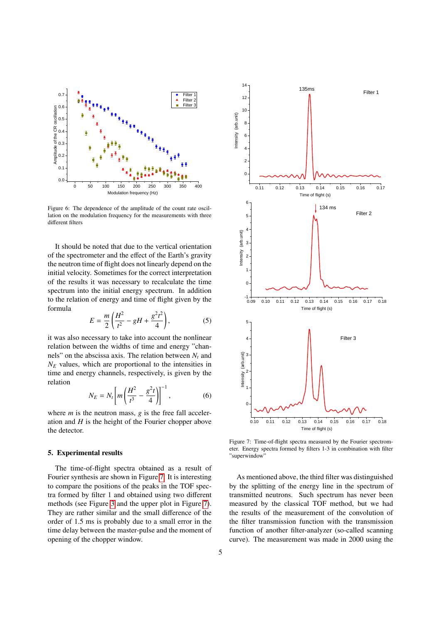

Figure 6: The dependence of the amplitude of the count rate oscillation on the modulation frequency for the measurements with three different filters

It should be noted that due to the vertical orientation of the spectrometer and the effect of the Earth's gravity the neutron time of flight does not linearly depend on the initial velocity. Sometimes for the correct interpretation of the results it was necessary to recalculate the time spectrum into the initial energy spectrum. In addition to the relation of energy and time of flight given by the formula

<span id="page-4-1"></span>
$$
E = \frac{m}{2} \left( \frac{H^2}{t^2} - gH + \frac{g^2 t^2}{4} \right),
$$
 (5)

it was also necessary to take into account the nonlinear relation between the widths of time and energy "channels" on the abscissa axis. The relation between *N<sup>t</sup>* and *N<sup>E</sup>* values, which are proportional to the intensities in time and energy channels, respectively, is given by the relation

<span id="page-4-2"></span>
$$
N_E = N_t \left[ m \left( \frac{H^2}{t^3} - \frac{g^2 t}{4} \right) \right]^{-1}, \tag{6}
$$

where *m* is the neutron mass, *g* is the free fall acceleration and *H* is the height of the Fourier chopper above the detector.

#### 5. Experimental results

The time-of-flight spectra obtained as a result of Fourier synthesis are shown in Figure [7.](#page-4-0) It is interesting to compare the positions of the peaks in the TOF spectra formed by filter 1 and obtained using two different methods (see Figure [3](#page-3-2) and the upper plot in Figure [7\)](#page-4-0). They are rather similar and the small difference of the order of 1.5 ms is probably due to a small error in the time delay between the master-pulse and the moment of opening of the chopper window.

<span id="page-4-0"></span>

Figure 7: Time-of-flight spectra measured by the Fourier spectrometer. Energy spectra formed by filters 1-3 in combination with filter "superwindow"

As mentioned above, the third filter was distinguished by the splitting of the energy line in the spectrum of transmitted neutrons. Such spectrum has never been measured by the classical TOF method, but we had the results of the measurement of the convolution of the filter transmission function with the transmission function of another filter-analyzer (so-called scanning curve). The measurement was made in 2000 using the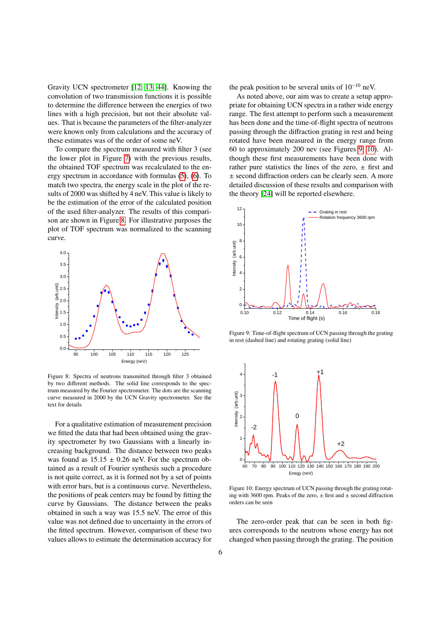Gravity UCN spectrometer [\[12,](#page-6-6) [13,](#page-6-13) [44\]](#page-7-7). Knowing the convolution of two transmission functions it is possible to determine the difference between the energies of two lines with a high precision, but not their absolute values. That is because the parameters of the filter-analyzer were known only from calculations and the accuracy of these estimates was of the order of some neV.

To compare the spectrum measured with filter 3 (see the lower plot in Figure [7\)](#page-4-0) with the previous results, the obtained TOF spectrum was recalculated to the energy spectrum in accordance with formulas [\(5\)](#page-4-1), [\(6\)](#page-4-2). To match two spectra, the energy scale in the plot of the results of 2000 was shifted by 4 neV. This value is likely to be the estimation of the error of the calculated position of the used filter-analyzer. The results of this comparison are shown in Figure [8.](#page-5-0) For illustrative purposes the plot of TOF spectrum was normalized to the scanning curve.

<span id="page-5-0"></span>

Figure 8: Spectra of neutrons transmitted through filter 3 obtained by two different methods. The solid line corresponds to the spectrum measured by the Fourier spectrometer. The dots are the scanning curve measured in 2000 by the UCN Gravity spectrometer. See the text for details

For a qualitative estimation of measurement precision we fitted the data that had been obtained using the gravity spectrometer by two Gaussians with a linearly increasing background. The distance between two peaks was found as  $15.15 \pm 0.26$  neV. For the spectrum obtained as a result of Fourier synthesis such a procedure is not quite correct, as it is formed not by a set of points with error bars, but is a continuous curve. Nevertheless, the positions of peak centers may be found by fitting the curve by Gaussians. The distance between the peaks obtained in such a way was 15.5 neV. The error of this value was not defined due to uncertainty in the errors of the fitted spectrum. However, comparison of these two values allows to estimate the determination accuracy for the peak position to be several units of  $10^{-10}$  neV.

As noted above, our aim was to create a setup appropriate for obtaining UCN spectra in a rather wide energy range. The first attempt to perform such a measurement has been done and the time-of-flight spectra of neutrons passing through the diffraction grating in rest and being rotated have been measured in the energy range from 60 to approximately 200 nev (see Figures [9,](#page-5-1) [10\)](#page-5-2). Although these first measurements have been done with rather pure statistics the lines of the zero,  $\pm$  first and ± second diffraction orders can be clearly seen. A more detailed discussion of these results and comparison with the theory [\[24\]](#page-7-0) will be reported elsewhere.

<span id="page-5-1"></span>

Figure 9: Time-of-flight spectrum of UCN passing through the grating in rest (dashed line) and rotating grating (solid line)

<span id="page-5-2"></span>

Figure 10: Energy spectrum of UCN passing through the grating rotating with 3600 rpm. Peaks of the zero,  $\pm$  first and  $\pm$  second diffraction orders can be seen

The zero-order peak that can be seen in both figures corresponds to the neutrons whose energy has not changed when passing through the grating. The position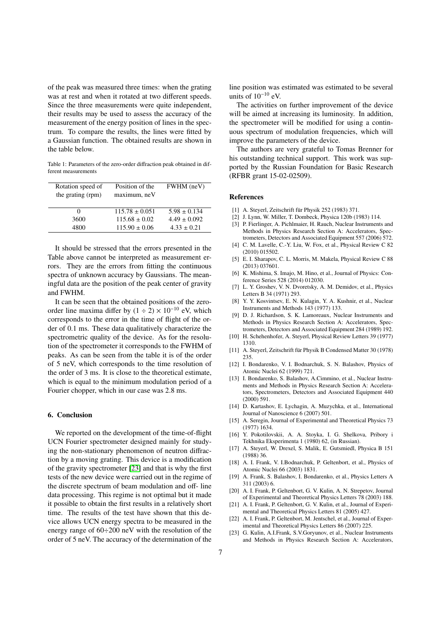of the peak was measured three times: when the grating was at rest and when it rotated at two different speeds. Since the three measurements were quite independent, their results may be used to assess the accuracy of the measurement of the energy position of lines in the spectrum. To compare the results, the lines were fitted by a Gaussian function. The obtained results are shown in the table below.

Table 1: Parameters of the zero-order diffraction peak obtained in different measurements

| Rotation speed of<br>the grating (rpm) | Position of the<br>maximum, neV | FWHM (neV)       |
|----------------------------------------|---------------------------------|------------------|
| $\mathbf{0}$                           | $115.78 \pm 0.051$              | $5.98 \pm 0.134$ |
| 3600                                   | $115.68 \pm 0.02$               | $4.49 \pm 0.092$ |
| 4800                                   | $115.90 \pm 0.06$               | $4.33 \pm 0.21$  |

It should be stressed that the errors presented in the Table above cannot be interpreted as measurement errors. They are the errors from fitting the continuous spectra of unknown accuracy by Gaussians. The meaningful data are the position of the peak center of gravity and FWHM.

It can be seen that the obtained positions of the zeroorder line maxima differ by  $(1 \div 2) \times 10^{-10}$  eV, which corresponds to the error in the time of flight of the order of 0.1 ms. These data qualitatively characterize the spectrometric quality of the device. As for the resolution of the spectrometer it corresponds to the FWHM of peaks. As can be seen from the table it is of the order of 5 neV, which corresponds to the time resolution of the order of 3 ms. It is close to the theoretical estimate, which is equal to the minimum modulation period of a Fourier chopper, which in our case was 2.8 ms.

#### 6. Conclusion

We reported on the development of the time-of-flight UCN Fourier spectrometer designed mainly for studying the non-stationary phenomenon of neutron diffraction by a moving grating. This device is a modification of the gravity spectrometer [\[23\]](#page-6-12) and that is why the first tests of the new device were carried out in the regime of the discrete spectrum of beam modulation and off- line data processing. This regime is not optimal but it made it possible to obtain the first results in a relatively short time. The results of the test have shown that this device allows UCN energy spectra to be measured in the energy range of 60÷200 neV with the resolution of the order of 5 neV. The accuracy of the determination of the

line position was estimated was estimated to be several units of  $10^{-10}$  eV.

The activities on further improvement of the device will be aimed at increasing its luminosity. In addition, the spectrometer will be modified for using a continuous spectrum of modulation frequencies, which will improve the parameters of the device.

The authors are very grateful to Tomas Brenner for his outstanding technical support. This work was supported by the Russian Foundation for Basic Research (RFBR grant 15-02-02509).

#### References

- <span id="page-6-0"></span>[1] A. Steyerl, Zeitschrift für Physik 252 (1983) 371.
- <span id="page-6-1"></span>[2] J. Lynn, W. Miller, T. Dombeck, Physica 120b (1983) 114.
- [3] P. Fierlinger, A. Pichlmaier, H. Rauch, Nuclear Instruments and Methods in Physics Research Section A: Accelerators, Spectrometers, Detectors and Associated Equipment 557 (2006) 572.
- [4] C. M. Lavelle, C.-Y. Liu, W. Fox, et al., Physical Review C 82 (2010) 015502.
- [5] E. I. Sharapov, C. L. Morris, M. Makela, Physical Review C 88 (2013) 037601.
- <span id="page-6-2"></span>[6] K. Mishima, S. Imajo, M. Hino, et al., Journal of Physics: Conference Series 528 (2014) 012030.
- <span id="page-6-3"></span>[7] L. Y. Groshev, V. N. Dvoretsky, A. M. Demidov, et al., Physics Letters B 34 (1971) 293.
- [8] Y. Y. Kosvintsev, E. N. Kulagin, Y. A. Kushnir, et al., Nuclear Instruments and Methods 143 (1977) 133.
- [9] D. J. Richardson, S. K. Lamoreaux, Nuclear Instruments and Methods in Physics Research Section A: Accelerators, Spectrometers, Detectors and Associated Equipment 284 (1989) 192.
- [10] H. Schehenhofer, A. Steyerl, Physical Review Letters 39 (1977) 1310.
- <span id="page-6-5"></span>[11] A. Steyerl, Zeitschrift für Physik B Condensed Matter 30 (1978) 235.
- <span id="page-6-6"></span>[12] I. Bondarenko, V. I. Bodnarchuk, S. N. Balashov, Physics of Atomic Nuclei 62 (1999) 721.
- <span id="page-6-13"></span>[13] I. Bondarenko, S. Balashov, A.Cimmino, et al., Nuclear Instruments and Methods in Physics Research Section A: Accelerators, Spectrometers, Detectors and Associated Equipment 440 (2000) 591.
- <span id="page-6-4"></span>[14] D. Kartashov, E. Lychagin, A. Muzychka, et al., International Journal of Nanoscience 6 (2007) 501.
- <span id="page-6-7"></span>[15] A. Seregin, Journal of Experimental and Theoretical Physics 73 (1977) 1634.
- [16] Y. Pokotilovskii, A. A. Stoyka, I. G. Shelkova, Pribory i Tekhnika Eksperimenta 1 (1980) 62, (in Russian).
- <span id="page-6-8"></span>[17] A. Steyerl, W. Drexel, S. Malik, E. Gutsmiedl, Physica B 151 (1988) 36.
- <span id="page-6-9"></span>[18] A. I. Frank, V. I.Bodnarchuk, P. Geltenbort, et al., Physics of Atomic Nuclei 66 (2003) 1831.
- <span id="page-6-11"></span>[19] A. Frank, S. Balashov, I. Bondarenko, et al., Physics Letters A 311 (2003) 6.
- [20] A. I. Frank, P. Geltenbort, G. V. Kulin, A. N. Strepetov, Journal of Experimental and Theoretical Physics Letters 78 (2003) 188.
- <span id="page-6-14"></span>[21] A. I. Frank, P. Geltenbort, G. V. Kulin, et al., Journal of Experimental and Theoretical Physics Letters 81 (2005) 427.
- <span id="page-6-10"></span>[22] A. I. Frank, P. Geltenbort, M. Jentschel, et al., Journal of Experimental and Theoretical Physics Letters 86 (2007) 225.
- <span id="page-6-12"></span>[23] G. Kulin, A.I.Frank, S.V.Goryunov, et al., Nuclear Instruments and Methods in Physics Research Section A: Accelerators,